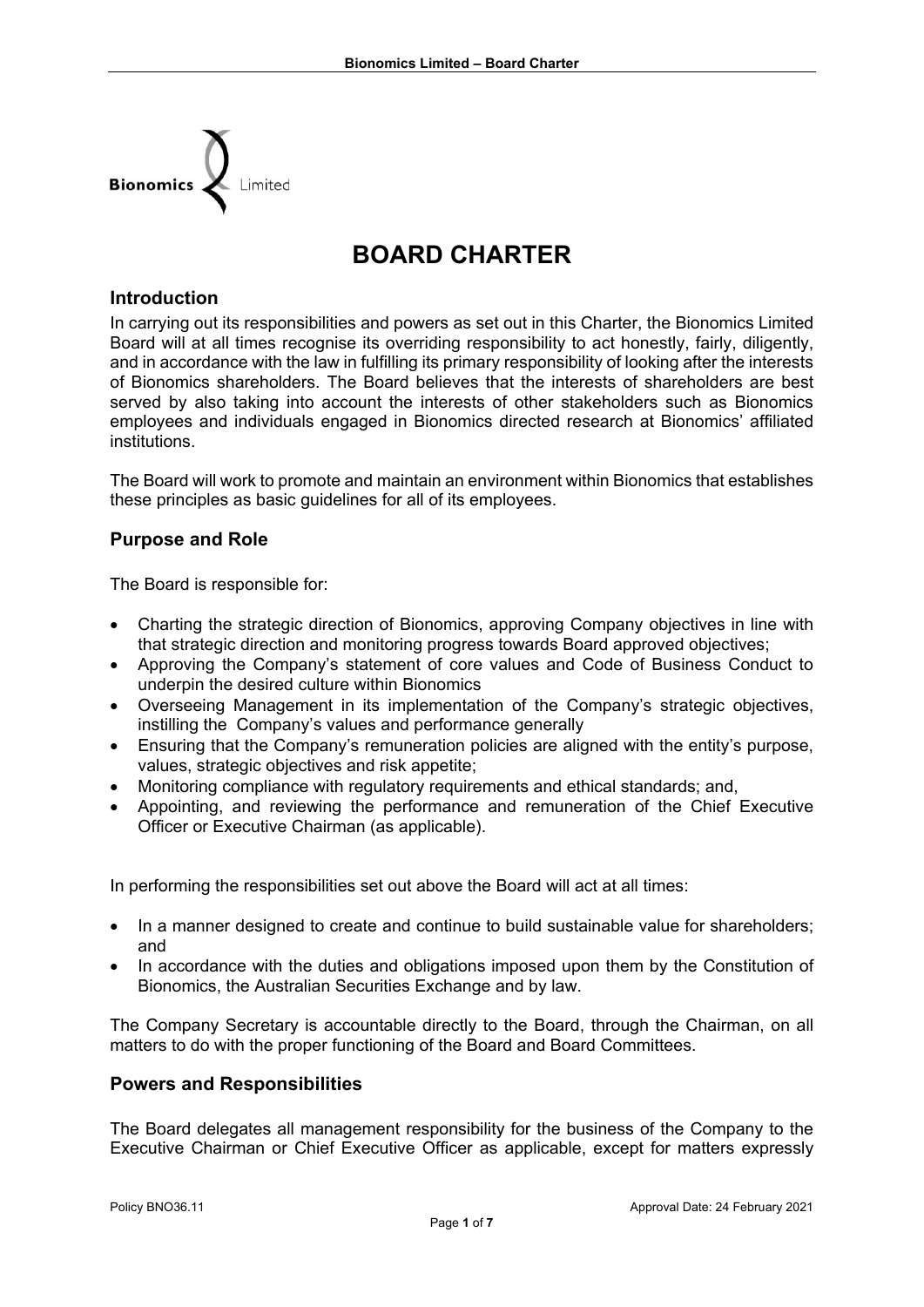

# **BOARD CHARTER**

#### **Introduction**

In carrying out its responsibilities and powers as set out in this Charter, the Bionomics Limited Board will at all times recognise its overriding responsibility to act honestly, fairly, diligently, and in accordance with the law in fulfilling its primary responsibility of looking after the interests of Bionomics shareholders. The Board believes that the interests of shareholders are best served by also taking into account the interests of other stakeholders such as Bionomics employees and individuals engaged in Bionomics directed research at Bionomics' affiliated institutions.

The Board will work to promote and maintain an environment within Bionomics that establishes these principles as basic guidelines for all of its employees.

#### **Purpose and Role**

The Board is responsible for:

- Charting the strategic direction of Bionomics, approving Company objectives in line with that strategic direction and monitoring progress towards Board approved objectives;
- Approving the Company's statement of core values and Code of Business Conduct to underpin the desired culture within Bionomics
- Overseeing Management in its implementation of the Company's strategic objectives, instilling the Company's values and performance generally
- Ensuring that the Company's remuneration policies are aligned with the entity's purpose, values, strategic objectives and risk appetite;
- Monitoring compliance with regulatory requirements and ethical standards; and,
- Appointing, and reviewing the performance and remuneration of the Chief Executive Officer or Executive Chairman (as applicable).

In performing the responsibilities set out above the Board will act at all times:

- In a manner designed to create and continue to build sustainable value for shareholders; and
- In accordance with the duties and obligations imposed upon them by the Constitution of Bionomics, the Australian Securities Exchange and by law.

The Company Secretary is accountable directly to the Board, through the Chairman, on all matters to do with the proper functioning of the Board and Board Committees.

#### **Powers and Responsibilities**

The Board delegates all management responsibility for the business of the Company to the Executive Chairman or Chief Executive Officer as applicable, except for matters expressly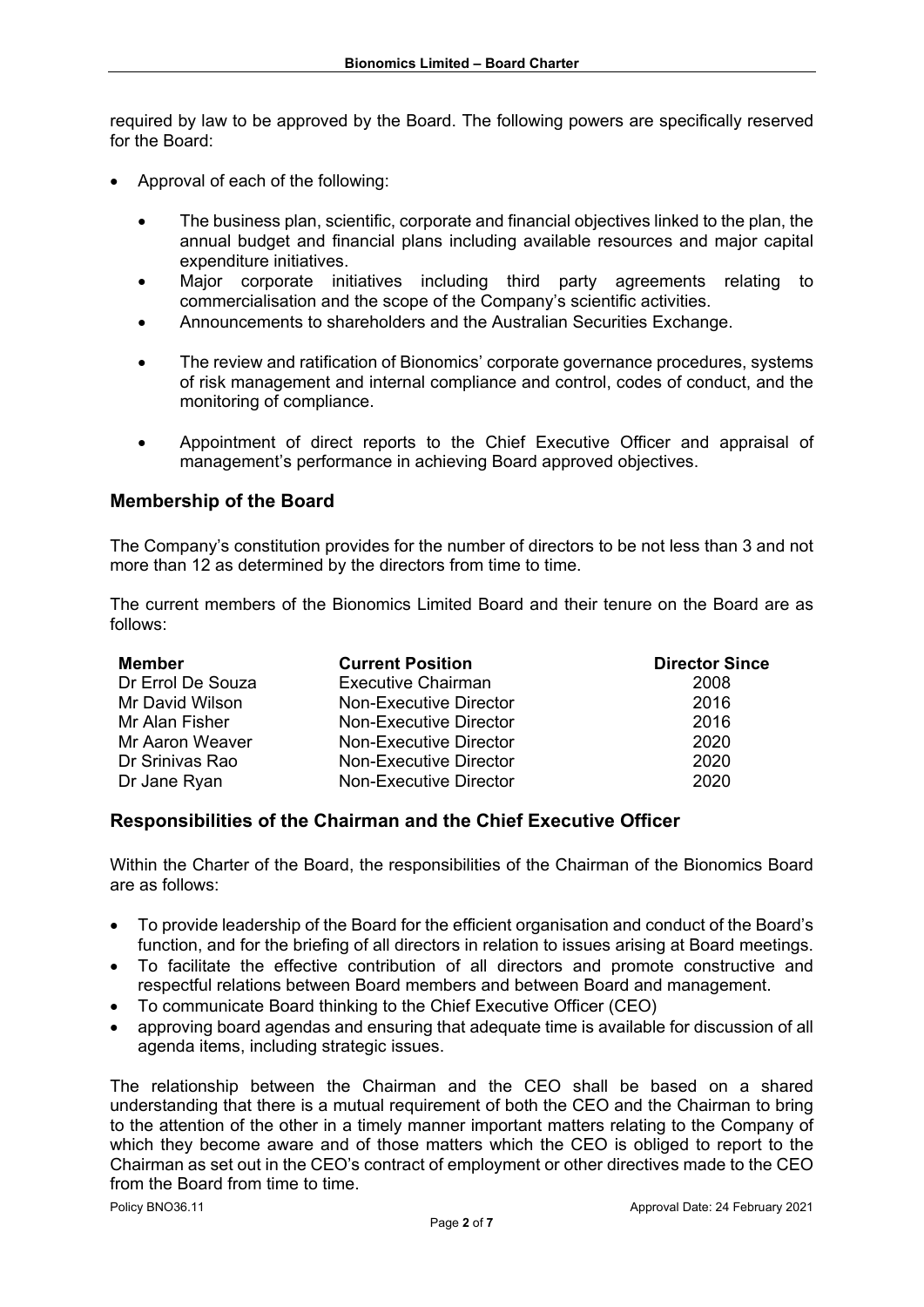required by law to be approved by the Board. The following powers are specifically reserved for the Board:

- Approval of each of the following:
	- The business plan, scientific, corporate and financial objectives linked to the plan, the annual budget and financial plans including available resources and major capital expenditure initiatives.
	- Major corporate initiatives including third party agreements relating to commercialisation and the scope of the Company's scientific activities.
	- Announcements to shareholders and the Australian Securities Exchange.
	- The review and ratification of Bionomics' corporate governance procedures, systems of risk management and internal compliance and control, codes of conduct, and the monitoring of compliance.
	- Appointment of direct reports to the Chief Executive Officer and appraisal of management's performance in achieving Board approved objectives.

## **Membership of the Board**

The Company's constitution provides for the number of directors to be not less than 3 and not more than 12 as determined by the directors from time to time.

The current members of the Bionomics Limited Board and their tenure on the Board are as follows:

| <b>Member</b>     | <b>Current Position</b>   | <b>Director Since</b> |
|-------------------|---------------------------|-----------------------|
| Dr Errol De Souza | <b>Executive Chairman</b> | 2008                  |
| Mr David Wilson   | Non-Executive Director    | 2016                  |
| Mr Alan Fisher    | Non-Executive Director    | 2016                  |
| Mr Aaron Weaver   | Non-Executive Director    | 2020                  |
| Dr Srinivas Rao   | Non-Executive Director    | 2020                  |
| Dr Jane Ryan      | Non-Executive Director    | 2020                  |

#### **Responsibilities of the Chairman and the Chief Executive Officer**

Within the Charter of the Board, the responsibilities of the Chairman of the Bionomics Board are as follows:

- To provide leadership of the Board for the efficient organisation and conduct of the Board's function, and for the briefing of all directors in relation to issues arising at Board meetings.
- To facilitate the effective contribution of all directors and promote constructive and respectful relations between Board members and between Board and management.
- To communicate Board thinking to the Chief Executive Officer (CEO)
- approving board agendas and ensuring that adequate time is available for discussion of all agenda items, including strategic issues.

The relationship between the Chairman and the CEO shall be based on a shared understanding that there is a mutual requirement of both the CEO and the Chairman to bring to the attention of the other in a timely manner important matters relating to the Company of which they become aware and of those matters which the CEO is obliged to report to the Chairman as set out in the CEO's contract of employment or other directives made to the CEO from the Board from time to time.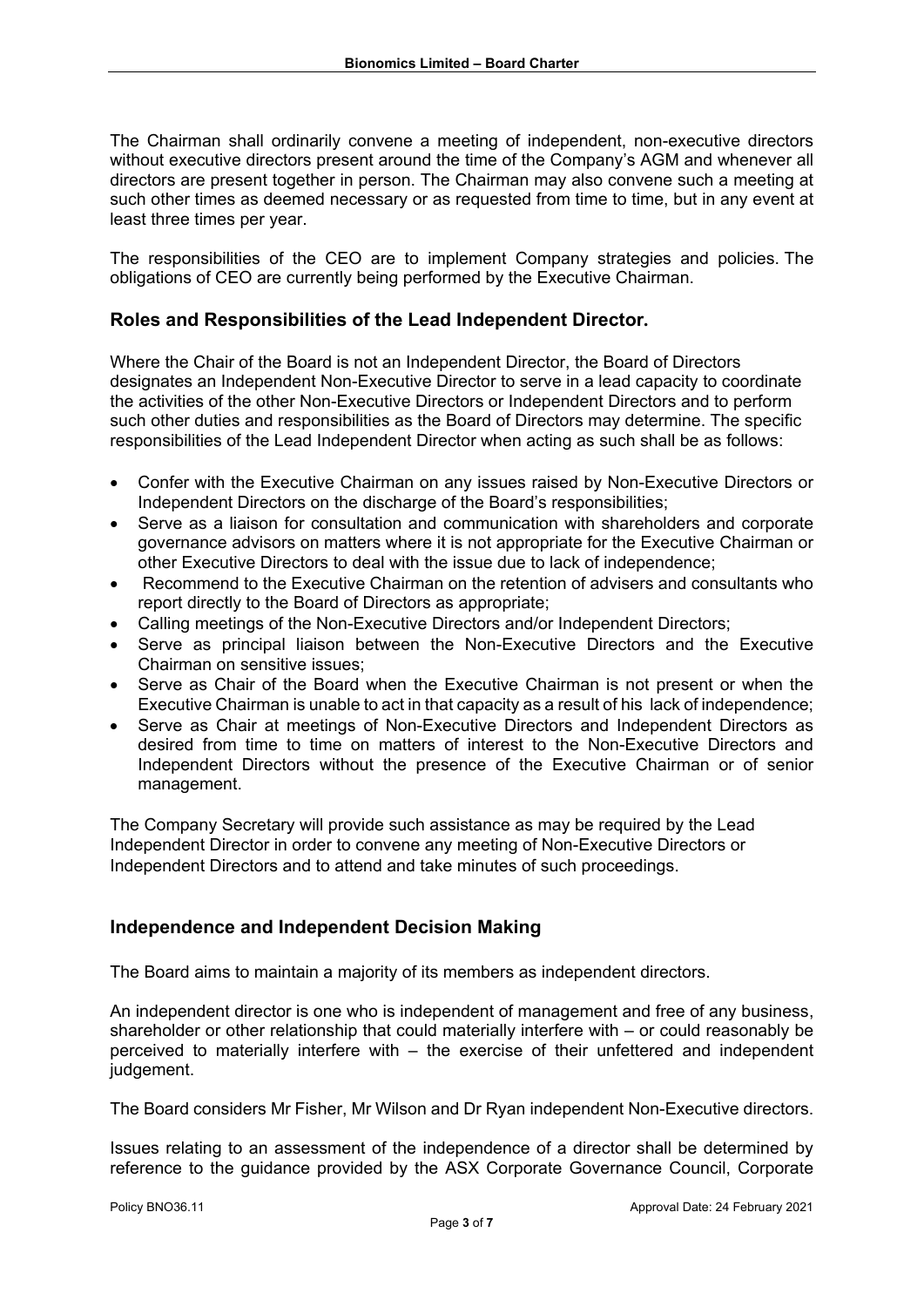The Chairman shall ordinarily convene a meeting of independent, non-executive directors without executive directors present around the time of the Company's AGM and whenever all directors are present together in person. The Chairman may also convene such a meeting at such other times as deemed necessary or as requested from time to time, but in any event at least three times per year.

The responsibilities of the CEO are to implement Company strategies and policies. The obligations of CEO are currently being performed by the Executive Chairman.

## **Roles and Responsibilities of the Lead Independent Director.**

Where the Chair of the Board is not an Independent Director, the Board of Directors designates an Independent Non-Executive Director to serve in a lead capacity to coordinate the activities of the other Non-Executive Directors or Independent Directors and to perform such other duties and responsibilities as the Board of Directors may determine. The specific responsibilities of the Lead Independent Director when acting as such shall be as follows:

- Confer with the Executive Chairman on any issues raised by Non-Executive Directors or Independent Directors on the discharge of the Board's responsibilities;
- Serve as a liaison for consultation and communication with shareholders and corporate governance advisors on matters where it is not appropriate for the Executive Chairman or other Executive Directors to deal with the issue due to lack of independence;
- Recommend to the Executive Chairman on the retention of advisers and consultants who report directly to the Board of Directors as appropriate;
- Calling meetings of the Non-Executive Directors and/or Independent Directors;
- Serve as principal liaison between the Non-Executive Directors and the Executive Chairman on sensitive issues;
- Serve as Chair of the Board when the Executive Chairman is not present or when the Executive Chairman is unable to act in that capacity as a result of his lack of independence;
- Serve as Chair at meetings of Non-Executive Directors and Independent Directors as desired from time to time on matters of interest to the Non-Executive Directors and Independent Directors without the presence of the Executive Chairman or of senior management.

The Company Secretary will provide such assistance as may be required by the Lead Independent Director in order to convene any meeting of Non-Executive Directors or Independent Directors and to attend and take minutes of such proceedings.

#### **Independence and Independent Decision Making**

The Board aims to maintain a majority of its members as independent directors.

An independent director is one who is independent of management and free of any business, shareholder or other relationship that could materially interfere with – or could reasonably be perceived to materially interfere with – the exercise of their unfettered and independent judgement.

The Board considers Mr Fisher, Mr Wilson and Dr Ryan independent Non-Executive directors.

Issues relating to an assessment of the independence of a director shall be determined by reference to the guidance provided by the ASX Corporate Governance Council, Corporate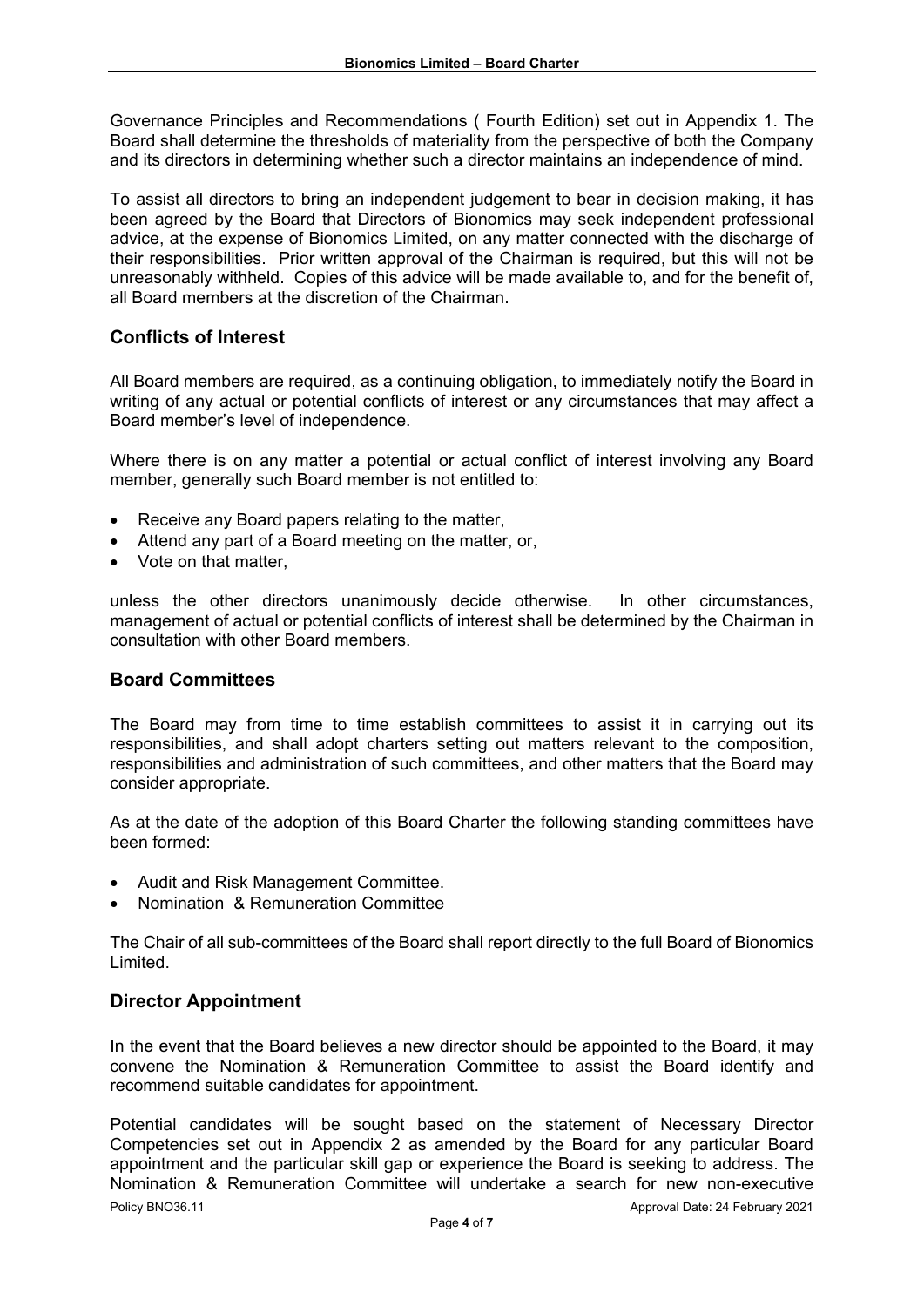Governance Principles and Recommendations ( Fourth Edition) set out in Appendix 1. The Board shall determine the thresholds of materiality from the perspective of both the Company and its directors in determining whether such a director maintains an independence of mind.

To assist all directors to bring an independent judgement to bear in decision making, it has been agreed by the Board that Directors of Bionomics may seek independent professional advice, at the expense of Bionomics Limited, on any matter connected with the discharge of their responsibilities. Prior written approval of the Chairman is required, but this will not be unreasonably withheld. Copies of this advice will be made available to, and for the benefit of, all Board members at the discretion of the Chairman.

## **Conflicts of Interest**

All Board members are required, as a continuing obligation, to immediately notify the Board in writing of any actual or potential conflicts of interest or any circumstances that may affect a Board member's level of independence.

Where there is on any matter a potential or actual conflict of interest involving any Board member, generally such Board member is not entitled to:

- Receive any Board papers relating to the matter,
- Attend any part of a Board meeting on the matter, or,
- Vote on that matter.

unless the other directors unanimously decide otherwise. In other circumstances, management of actual or potential conflicts of interest shall be determined by the Chairman in consultation with other Board members.

#### **Board Committees**

The Board may from time to time establish committees to assist it in carrying out its responsibilities, and shall adopt charters setting out matters relevant to the composition, responsibilities and administration of such committees, and other matters that the Board may consider appropriate.

As at the date of the adoption of this Board Charter the following standing committees have been formed:

- Audit and Risk Management Committee.
- Nomination & Remuneration Committee

The Chair of all sub-committees of the Board shall report directly to the full Board of Bionomics Limited.

#### **Director Appointment**

In the event that the Board believes a new director should be appointed to the Board, it may convene the Nomination & Remuneration Committee to assist the Board identify and recommend suitable candidates for appointment.

Policy BNO36.11 Approval Date: 24 February 2021 Potential candidates will be sought based on the statement of Necessary Director Competencies set out in Appendix 2 as amended by the Board for any particular Board appointment and the particular skill gap or experience the Board is seeking to address. The Nomination & Remuneration Committee will undertake a search for new non-executive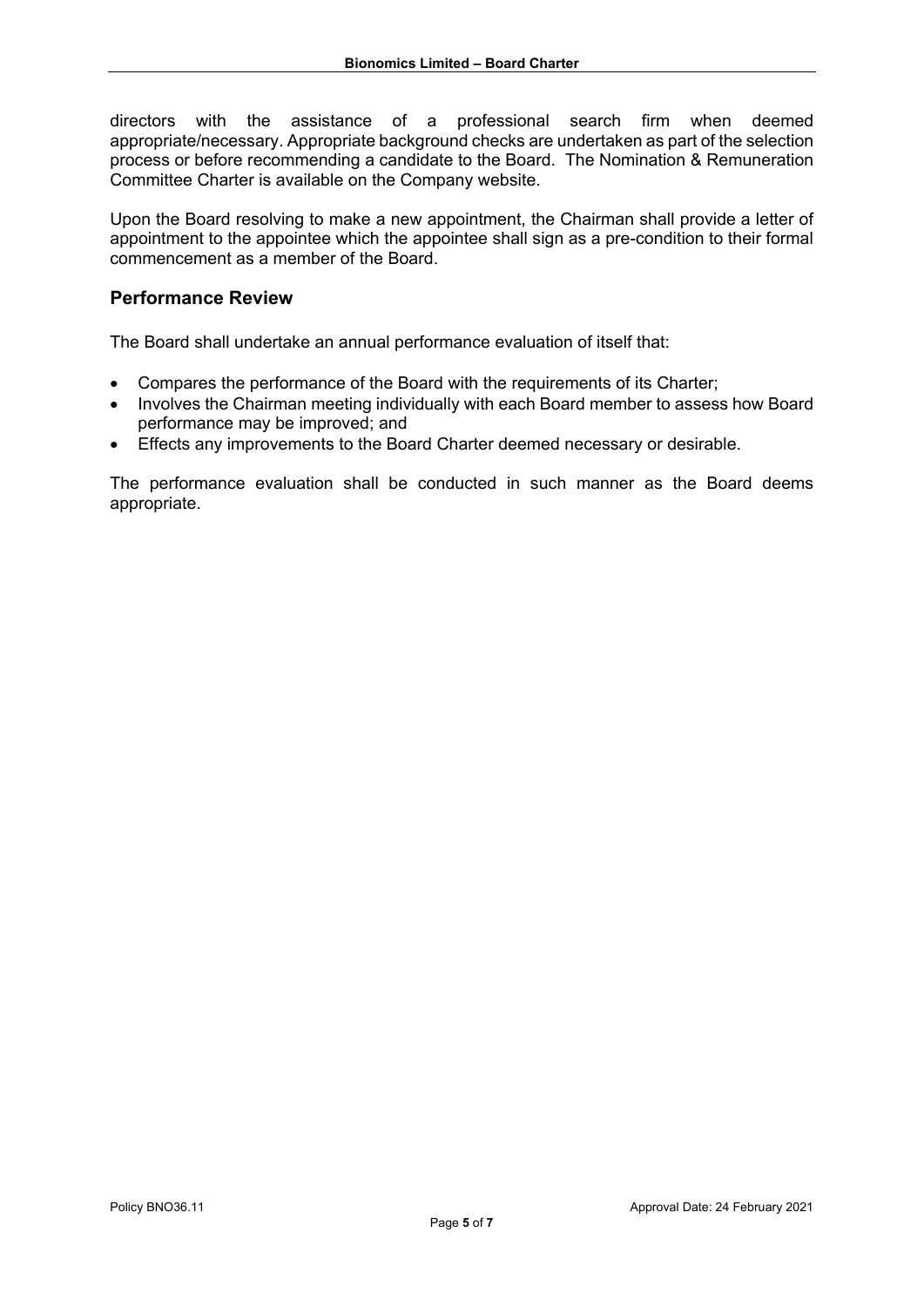directors with the assistance of a professional search firm when deemed appropriate/necessary. Appropriate background checks are undertaken as part of the selection process or before recommending a candidate to the Board. The Nomination & Remuneration Committee Charter is available on the Company website.

Upon the Board resolving to make a new appointment, the Chairman shall provide a letter of appointment to the appointee which the appointee shall sign as a pre-condition to their formal commencement as a member of the Board.

## **Performance Review**

The Board shall undertake an annual performance evaluation of itself that:

- Compares the performance of the Board with the requirements of its Charter;
- Involves the Chairman meeting individually with each Board member to assess how Board performance may be improved; and
- Effects any improvements to the Board Charter deemed necessary or desirable.

The performance evaluation shall be conducted in such manner as the Board deems appropriate.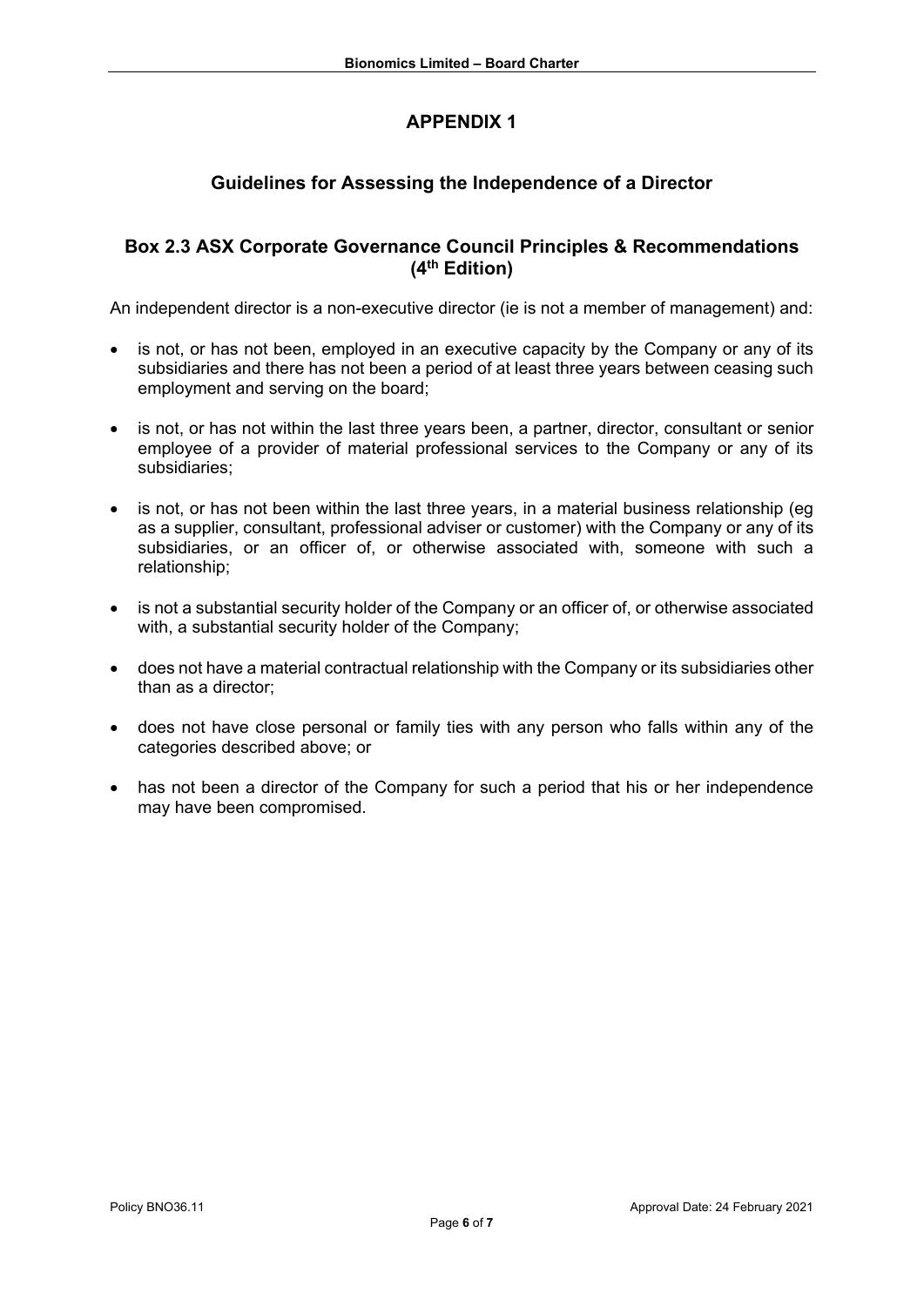# **APPENDIX 1**

# **Guidelines for Assessing the Independence of a Director**

## **Box 2.3 ASX Corporate Governance Council Principles & Recommendations (4th Edition)**

An independent director is a non-executive director (ie is not a member of management) and:

- is not, or has not been, employed in an executive capacity by the Company or any of its subsidiaries and there has not been a period of at least three years between ceasing such employment and serving on the board;
- is not, or has not within the last three years been, a partner, director, consultant or senior employee of a provider of material professional services to the Company or any of its subsidiaries;
- is not, or has not been within the last three years, in a material business relationship (eq as a supplier, consultant, professional adviser or customer) with the Company or any of its subsidiaries, or an officer of, or otherwise associated with, someone with such a relationship;
- is not a substantial security holder of the Company or an officer of, or otherwise associated with, a substantial security holder of the Company;
- does not have a material contractual relationship with the Company or its subsidiaries other than as a director;
- does not have close personal or family ties with any person who falls within any of the categories described above; or
- has not been a director of the Company for such a period that his or her independence may have been compromised.